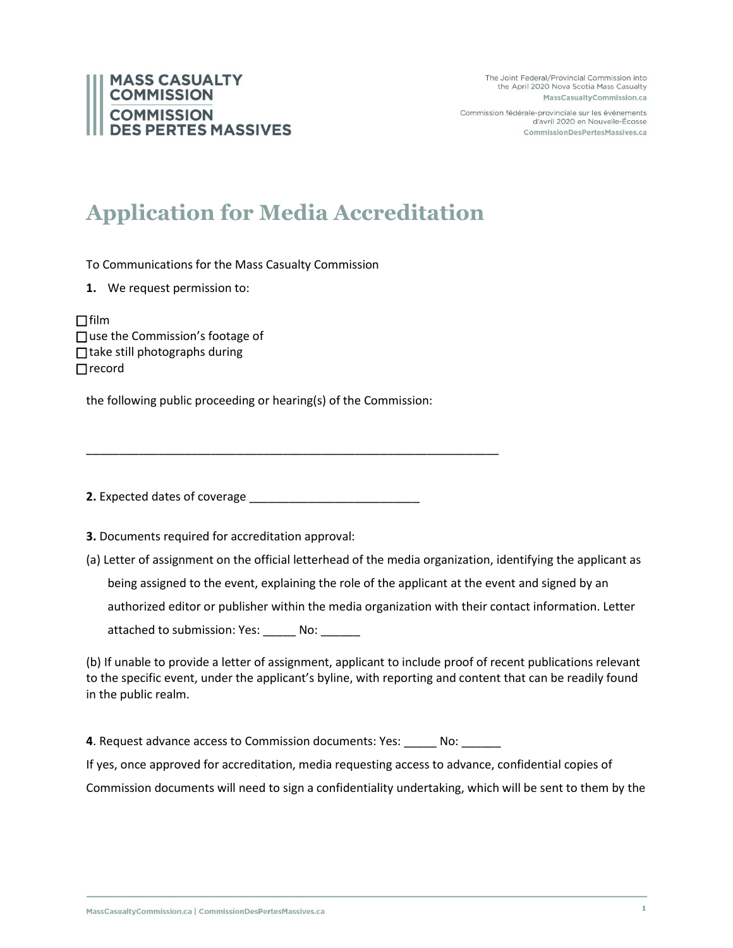The Joint Federal/Provincial Commission into the April 2020 Nova Scotia Mass Casualty MassCasualtyCommission.ca

Commission fédérale-provinciale sur les événements d'avril 2020 en Nouvelle-Écosse CommissionDesPertesMassives.ca

## **MASS CASUALTY COMMISSION COMMISSION ES PERTES MASSIVES**

## **Application for Media Accreditation**

To Communications for the Mass Casualty Commission

**1.** We request permission to:

 $\Box$ film □ use the Commission's footage of  $\Box$  take still photographs during  $\Box$  record

the following public proceeding or hearing(s) of the Commission:

\_\_\_\_\_\_\_\_\_\_\_\_\_\_\_\_\_\_\_\_\_\_\_\_\_\_\_\_\_\_\_\_\_\_\_\_\_\_\_\_\_\_\_\_\_\_\_\_\_\_\_\_\_\_\_\_\_\_\_\_\_\_\_

**2.** Expected dates of coverage

**3.** Documents required for accreditation approval:

(a) Letter of assignment on the official letterhead of the media organization, identifying the applicant as being assigned to the event, explaining the role of the applicant at the event and signed by an authorized editor or publisher within the media organization with their contact information. Letter attached to submission: Yes: \_\_\_\_\_ No: \_\_\_\_\_\_

(b) If unable to provide a letter of assignment, applicant to include proof of recent publications relevant to the specific event, under the applicant's byline, with reporting and content that can be readily found in the public realm.

**4**. Request advance access to Commission documents: Yes: \_\_\_\_\_ No: \_\_\_\_\_\_

If yes, once approved for accreditation, media requesting access to advance, confidential copies of

Commission documents will need to sign a confidentiality undertaking, which will be sent to them by the